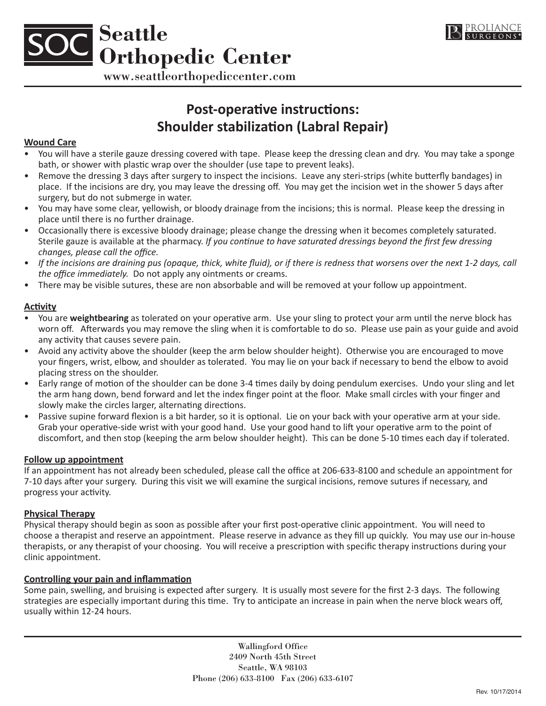



www.seattleorthopediccenter.com

# **Post-operative instructions: Shoulder stabilization (Labral Repair)**

#### **Wound Care**

- You will have a sterile gauze dressing covered with tape. Please keep the dressing clean and dry. You may take a sponge bath, or shower with plastic wrap over the shoulder (use tape to prevent leaks).
- Remove the dressing 3 days after surgery to inspect the incisions. Leave any steri-strips (white butterfly bandages) in place. If the incisions are dry, you may leave the dressing off. You may get the incision wet in the shower 5 days after surgery, but do not submerge in water.
- You may have some clear, yellowish, or bloody drainage from the incisions; this is normal. Please keep the dressing in place until there is no further drainage.
- Occasionally there is excessive bloody drainage; please change the dressing when it becomes completely saturated. Sterile gauze is available at the pharmacy. *If you continue to have saturated dressings beyond the first few dressing changes, please call the office.*
- *If the incisions are draining pus (opaque, thick, white fluid), or if there is redness that worsens over the next 1-2 days, call the office immediately.* Do not apply any ointments or creams.
- There may be visible sutures, these are non absorbable and will be removed at your follow up appointment.

# **Activity**

- You are **weightbearing** as tolerated on your operative arm. Use your sling to protect your arm until the nerve block has worn off. Afterwards you may remove the sling when it is comfortable to do so. Please use pain as your guide and avoid any activity that causes severe pain.
- Avoid any activity above the shoulder (keep the arm below shoulder height). Otherwise you are encouraged to move your fingers, wrist, elbow, and shoulder as tolerated. You may lie on your back if necessary to bend the elbow to avoid placing stress on the shoulder.
- Early range of motion of the shoulder can be done 3-4 times daily by doing pendulum exercises. Undo your sling and let the arm hang down, bend forward and let the index finger point at the floor. Make small circles with your finger and slowly make the circles larger, alternating directions.
- Passive supine forward flexion is a bit harder, so it is optional. Lie on your back with your operative arm at your side. Grab your operative-side wrist with your good hand. Use your good hand to lift your operative arm to the point of discomfort, and then stop (keeping the arm below shoulder height). This can be done 5-10 times each day if tolerated.

### **Follow up appointment**

If an appointment has not already been scheduled, please call the office at 206-633-8100 and schedule an appointment for 7-10 days after your surgery. During this visit we will examine the surgical incisions, remove sutures if necessary, and progress your activity.

### **Physical Therapy**

Physical therapy should begin as soon as possible after your first post-operative clinic appointment. You will need to choose a therapist and reserve an appointment. Please reserve in advance as they fill up quickly. You may use our in-house therapists, or any therapist of your choosing. You will receive a prescription with specific therapy instructions during your clinic appointment.

# **Controlling your pain and inflammation**

Some pain, swelling, and bruising is expected after surgery. It is usually most severe for the first 2-3 days. The following strategies are especially important during this time. Try to anticipate an increase in pain when the nerve block wears off, usually within 12-24 hours.